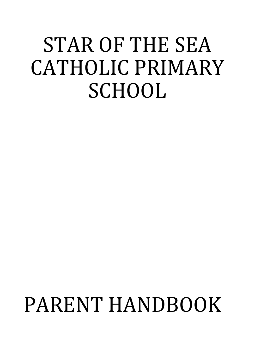## STAR OF THE SEA CATHOLIC PRIMARY **SCHOOL**

# PARENT HANDBOOK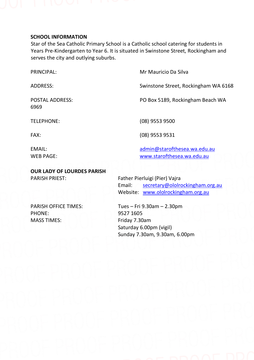

#### **SCHOOL INFORMATION**

Star of the Sea Catholic Primary School is a Catholic school catering for students in Years Pre-Kindergarten to Year 6. It is situated in Swinstone Street, Rockingham and serves the city and outlying suburbs.

PRINCIPAL: Mr Mauricio Da Silva ADDRESS: Swinstone Street, Rockingham WA 6168

POSTAL ADDRESS: PO Box 5189, Rockingham Beach WA

TELEPHONE: (08) 9553 9500

FAX: (08) 9553 9531

6969

EMAIL: EMAIL: EMAIL: WEB PAGE: [www.starofthesea.wa.edu.au](http://www.starofthesea.wa.edu.au/)

**OUR LADY OF LOURDES PARISH** PARISH PRIEST: Father Pierluigi (Pier) Vajra

Email: [secretary@ololrockingham.org.au](mailto:secretary@ololrockingham.org.au) Website: [www.ololrockingham.org.au](http://www.ololrockingham.org.au/)

PHONE: 9527 1605 MASS TIMES: Friday 7.30am

PARISH OFFICE TIMES: Tues – Fri 9.30am – 2.30pm Saturday 6.00pm (vigil) Sunday 7.30am, 9.30am, 6.00pm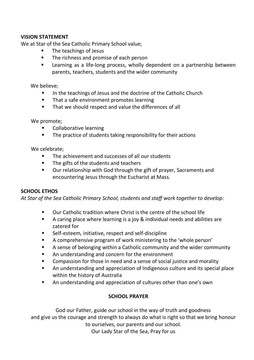#### **VISION STATEMENT**

We at Star of the Sea Catholic Primary School value;

- The teachings of Jesus
- The richness and promise of each person
- Learning as a life-long process, wholly dependent on a partnership between parents, teachers, students and the wider community

We believe;

- In the teachings of Jesus and the doctrine of the Catholic Church
- That a safe environment promotes learning
- That we should respect and value the differences of all

We promote;

- Collaborative learning
- The practice of students taking responsibility for their actions

We celebrate;

- The achievement and successes of all our students
- The gifts of the students and teachers
- Our relationship with God through the gift of prayer, Sacraments and encountering Jesus through the Eucharist at Mass.

#### **SCHOOL ETHOS**

*At Star of the Sea Catholic Primary School, students and staff work together to develop:*

- Our Catholic tradition where Christ is the centre of the school life
- A caring place where learning is a joy & individual needs and abilities are catered for
- Self-esteem, initiative, respect and self-discipline
- A comprehensive program of work ministering to the 'whole person'
- A sense of belonging within a Catholic community and the wider community
- An understanding and concern for the environment
- Compassion for those in need and a sense of social justice and morality
- An understanding and appreciation of Indigenous culture and its special place within the history of Australia
- An understanding and appreciation of cultures other than one's own

#### **SCHOOL PRAYER**

God our Father, guide our school in the way of truth and goodness and give us the courage and strength to always do what is right so that we bring honour to ourselves, our parents and our school. Our Lady Star of the Sea, Pray for us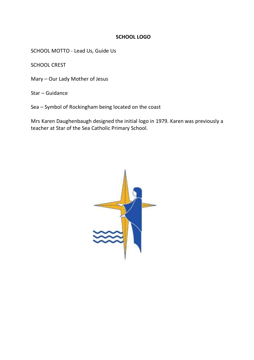#### **SCHOOL LOGO**

SCHOOL MOTTO - Lead Us, Guide Us

SCHOOL CREST

Mary – Our Lady Mother of Jesus

Star – Guidance

Sea – Symbol of Rockingham being located on the coast

Mrs Karen Daughenbaugh designed the initial logo in 1979. Karen was previously a teacher at Star of the Sea Catholic Primary School.

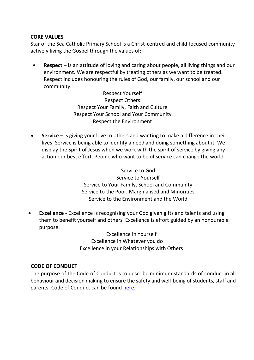#### **CORE VALUES**

Star of the Sea Catholic Primary School is a Christ-centred and child focused community actively living the Gospel through the values of:

• **Respect** – is an attitude of loving and caring about people, all living things and our environment. We are respectful by treating others as we want to be treated. Respect includes honouring the rules of God, our family, our school and our community.

> Respect Yourself Respect Others Respect Your Family, Faith and Culture Respect Your School and Your Community Respect the Environment

• **Service** – is giving your love to others and wanting to make a difference in their lives. Service is being able to identify a need and doing something about it. We display the Spirit of Jesus when we work with the spirit of service by giving any action our best effort. People who want to be of service can change the world.

> Service to God Service to Yourself Service to Your Family, School and Community Service to the Poor, Marginalised and Minorities Service to the Environment and the World

• **Excellence** - Excellence is recognising your God given gifts and talents and using them to benefit yourself and others. Excellence is effort guided by an honourable purpose.

> Excellence in Yourself Excellence in Whatever you do Excellence in your Relationships with Others

#### O **CODE OF CONDUCT**

The purpose of the Code of Conduct is to describe minimum standards of conduct in all behaviour and decision making to ensure the safety and well-being of students, staff and parents. Code of Conduct can be foun[d here.](https://irp.cdn-website.com/c8683b04/files/uploaded/1.%20Code%20of%20Conduct%20.pdf)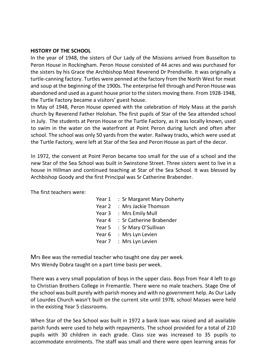#### **HISTORY OF THE SCHOOL**

In the year of 1948, the sisters of Our Lady of the Missions arrived from Busselton to Peron House in Rockingham. Peron House consisted of 44 acres and was purchased for the sisters by his Grace the Archbishop Most Reverend Dr Prendiville. It was originally a turtle-canning factory. Turtles were penned at the factory from the North West for meat and soup at the beginning of the 1900s. The enterprise fell through and Peron House was abandoned and used as a guest house prior to the sisters moving there. From 1928-1948, the Turtle Factory became a visitors' guest house.

In May of 1948, Peron House opened with the celebration of Holy Mass at the parish church by Reverend Father Holohan. The first pupils of Star of the Sea attended school in July. The students at Peron House or the Turtle Factory, as it was locally known, used to swim in the water on the waterfront at Point Peron during lunch and often after school. The school was only 50 yards from the water. Railway tracks, which were used at the Turtle Factory, were left at Star of the Sea and Peron House as part of the decor.

In 1972, the convent at Point Peron became too small for the use of a school and the new Star of the Sea School was built in Swinstone Street. Three sisters went to live in a house in Hillman and continued teaching at Star of the Sea School. It was blessed by Archbishop Goody and the first Principal was Sr Catherine Brabender.

The first teachers were:

| : Sr Margaret Mary Doherty |
|----------------------------|
| : Mrs Jackie Thomson       |
| : Mrs Emily Mull           |
| : Sr Catherine Brabender   |
| : Sr Mary O'Sullivan       |
| : Mrs Lyn Levien           |
| : Mrs Lyn Levien           |
|                            |

Mrs Bee was the remedial teacher who taught one day per week. Mrs Wendy Dobra taught on a part time basis per week.

There was a very small population of boys in the upper class. Boys from Year 4 left to go to Christian Brothers College in Fremantle. There were no male teachers. Stage One of the school was built purely with parish money and with no government help. As Our Lady of Lourdes Church wasn't built on the current site until 1978, school Masses were held in the existing Year 5 classrooms.

When Star of the Sea School was built in 1972 a bank loan was raised and all available parish funds were used to help with repayments. The school provided for a total of 210 pupils with 30 children in each grade. Class size was increased to 35 pupils to accommodate enrolments. The staff was small and there were open learning areas for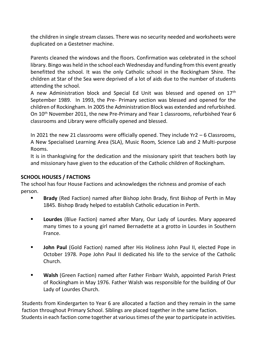the children in single stream classes. There was no security needed and worksheets were duplicated on a Gestetner machine.

Parents cleaned the windows and the floors. Confirmation was celebrated in the school library. Bingo was held in the school each Wednesday and funding from this event greatly benefitted the school. It was the only Catholic school in the Rockingham Shire. The children at Star of the Sea were deprived of a lot of aids due to the number of students attending the school.

A new Administration block and Special Ed Unit was blessed and opened on 17th September 1989. In 1993, the Pre- Primary section was blessed and opened for the children of Rockingham. In 2005 the Administration Block was extended and refurbished. On 10th November 2011, the new Pre-Primary and Year 1 classrooms, refurbished Year 6 classrooms and Library were officially opened and blessed.

In 2021 the new 21 classrooms were officially opened. They include Yr2 – 6 Classrooms, A New Specialised Learning Area (SLA), Music Room, Science Lab and 2 Multi-purpose Rooms.

It is in thanksgiving for the dedication and the missionary spirit that teachers both lay and missionary have given to the education of the Catholic children of Rockingham.

#### **SCHOOL HOUSES / FACTIONS**

The school has four House Factions and acknowledges the richness and promise of each person.

- Brady (Red Faction) named after Bishop John Brady, first Bishop of Perth in May 1845. Bishop Brady helped to establish Catholic education in Perth.
- **Lourdes** (Blue Faction) named after Mary, Our Lady of Lourdes. Mary appeared many times to a young girl named Bernadette at a grotto in Lourdes in Southern France.
- **John Paul** (Gold Faction) named after His Holiness John Paul II, elected Pope in October 1978. Pope John Paul II dedicated his life to the service of the Catholic Church.
- **Walsh** (Green Faction) named after Father Finbarr Walsh, appointed Parish Priest of Rockingham in May 1976. Father Walsh was responsible for the building of Our Lady of Lourdes Church.

Students from Kindergarten to Year 6 are allocated a faction and they remain in the same faction throughout Primary School. Siblings are placed together in the same faction. Students in each faction come together at various times of the year to participate in activities.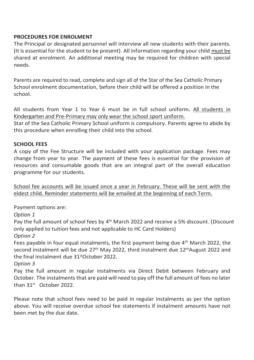### **PROCEDURES FOR ENROLMENT**

The Principal or designated personnel will interview all new students with their parents. (It is essential for the student to be present). All information regarding your child must be shared at enrolment. An additional meeting may be required for children with special needs.

Parents are required to read, complete and sign all of the Star of the Sea Catholic Primary School enrolment documentation, before their child will be offered a position in the school.

All students from Year 1 to Year 6 must be in full school uniform*.* All students in Kindergarten and Pre-Primary may only wear the school sport uniform.

Star of the Sea Catholic Primary School uniform is compulsory. Parents agree to abide by this procedure when enrolling their child into the school.

#### **SCHOOL FEES**

A copy of the Fee Structure will be included with your application package. Fees may change from year to year. The payment of these fees is essential for the provision of resources and consumable goods that are an integral part of the overall education programme for our students.

School fee accounts will be issued once a year in February. These will be sent with the eldest child. Reminder statements will be emailed at the beginning of each Term.

Payment options are:

*Option 1*

Pay the full amount of school fees by 4<sup>th</sup> March 2022 and receive a 5% discount. (Discount only applied to tuition fees and not applicable to HC Card Holders)

*Option 2*

Fees payable in four equal instalments, the first payment being due  $4<sup>th</sup>$  March 2022, the second instalment will be due  $27<sup>th</sup>$  May 2022, third instalment due  $12<sup>th</sup>$ August 2022 and the final instalment due 31stOctober 2022.

*Option 3*

Pay the full amount in regular instalments via Direct Debit between February and October. The instalments that are paid will need to pay off the full amount of fees no later than  $31^{st}$  October 2022.

Please note that school fees need to be paid in regular instalments as per the option above. You will receive overdue school fee statements if instalment amounts have not been met by the due date.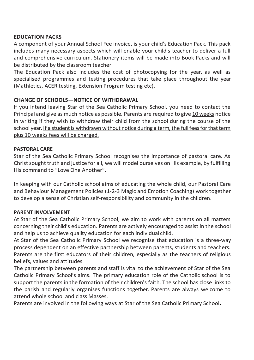#### **EDUCATION PACKS**

A component of your Annual School Fee invoice, is your child's Education Pack. This pack includes many necessary aspects which will enable your child's teacher to deliver a full and comprehensive curriculum. Stationery items will be made into Book Packs and will be distributed by the classroom teacher.

The Education Pack also includes the cost of photocopying for the year, as well as specialised programmes and testing procedures that take place throughout the year (Mathletics, ACER testing, Extension Program testing etc).

#### **CHANGE OF SCHOOLS—NOTICE OF WITHDRAWAL**

If you intend leaving Star of the Sea Catholic Primary School, you need to contact the Principal and give as much notice as possible. Parents are required to give 10 weeks notice in writing if they wish to withdraw their child from the school during the course of the school year. If a student is withdrawn without notice during a term, the full fees for that term plus 10 weeks fees will be charged.

#### **PASTORAL CARE**

Star of the Sea Catholic Primary School recognises the importance of pastoral care. As Christ sought truth and justice for all, we will model ourselves on His example, by fulfilling His command to "Love One Another".

In keeping with our Catholic school aims of educating the whole child, our Pastoral Care and Behaviour Management Policies (1-2-3 Magic and Emotion Coaching) work together to develop a sense of Christian self-responsibility and community in the children.

#### **PARENT INVOLVEMENT**

At Star of the Sea Catholic Primary School, we aim to work with parents on all matters concerning their child's education. Parents are actively encouraged to assist in the school and help us to achieve quality education for each individual child.

At Star of the Sea Catholic Primary School we recognise that education is a three-way process dependent on an effective partnership between parents, students and teachers. Parents are the first educators of their children, especially as the teachers of religious beliefs, values and attitudes

The partnership between parents and staff is vital to the achievement of Star of the Sea Catholic Primary School's aims. The primary education role of the Catholic school is to support the parents in the formation of their children's faith. The school has close links to the parish and regularly organises functions together. Parents are always welcome to attend whole school and class Masses.

Parents are involved in the following ways at Star of the Sea Catholic Primary School**.**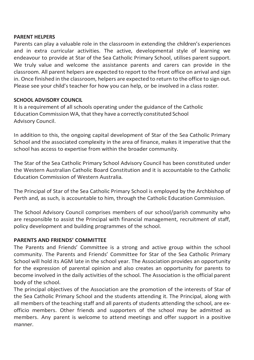#### **PARENT HELPERS**

Parents can play a valuable role in the classroom in extending the children's experiences and in extra curricular activities. The active, developmental style of learning we endeavour to provide at Star of the Sea Catholic Primary School, utilises parent support. We truly value and welcome the assistance parents and carers can provide in the classroom. All parent helpers are expected to report to the front office on arrival and sign in. Once finished in the classroom, helpers are expected to return to the office to sign out. Please see your child's teacher for how you can help, or be involved in a class roster.

#### **SCHOOL ADVISORY COUNCIL**

It is a requirement of all schools operating under the guidance of the Catholic Education Commission WA, that they have a correctly constituted School Advisory Council.

In addition to this, the ongoing capital development of Star of the Sea Catholic Primary School and the associated complexity in the area of finance, makes it imperative that the school has access to expertise from within the broader community.

The Star of the Sea Catholic Primary School Advisory Council has been constituted under the Western Australian Catholic Board Constitution and it is accountable to the Catholic Education Commission of Western Australia.

The Principal of Star of the Sea Catholic Primary School is employed by the Archbishop of Perth and, as such, is accountable to him, through the Catholic Education Commission.

The School Advisory Council comprises members of our school/parish community who are responsible to assist the Principal with financial management, recruitment of staff, policy development and building programmes of the school.

#### **PARENTS AND FRIENDS' COMMITTEE**

The Parents and Friends' Committee is a strong and active group within the school community. The Parents and Friends' Committee for Star of the Sea Catholic Primary School will hold its AGM late in the school year. The Association provides an opportunity for the expression of parental opinion and also creates an opportunity for parents to become involved in the daily activities of the school. The Association is the official parent body of the school.

The principal objectives of the Association are the promotion of the interests of Star of the Sea Catholic Primary School and the students attending it. The Principal, along with all members of the teaching staff and all parents of students attending the school, are exofficio members. Other friends and supporters of the school may be admitted as members. Any parent is welcome to attend meetings and offer support in a positive manner.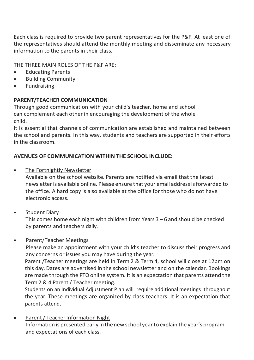Each class is required to provide two parent representatives for the P&F. At least one of the representatives should attend the monthly meeting and disseminate any necessary information to the parents in their class.

THE THREE MAIN ROLES OF THE P&F ARE:

- Educating Parents
- **Building Community**
- Fundraising

### **PARENT/TEACHER COMMUNICATION**

Through good communication with your child's teacher, home and school can complement each other in encouraging the development of the whole child.

It is essential that channels of communication are established and maintained between the school and parents. In this way, students and teachers are supported in their efforts in the classroom.

### **AVENUES OF COMMUNICATION WITHIN THE SCHOOL INCLUDE:**

**The Fortnightly Newsletter** 

Available on the school website. Parents are notified via email that the latest newsletter is available online. Please ensure that your email addressisforwarded to the office. A hard copy is also available at the office for those who do not have electronic access.

Student Diary

This comes home each night with children from Years 3 – 6 and should be checked by parents and teachers daily.

#### **Parent/Teacher Meetings**

Please make an appointment with your child's teacher to discuss their progress and any concerns or issues you may have during the year.

Parent /Teacher meetings are held in Term 2 & Term 4, school will close at 12pm on this day. Dates are advertised in the school newsletter and on the calendar. Bookings are made through the PTO online system. It is an expectation that parents attend the Term 2 & 4 Parent / Teacher meeting.

Students on an Individual Adjustment Plan will require additional meetings throughout the year. These meetings are organized by class teachers. It is an expectation that parents attend.

Parent / Teacher Information Night Information is presented early inthe newschool yearto explain the year's program and expectations of each class.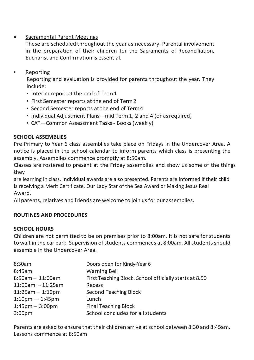## **Sacramental Parent Meetings**

These are scheduled throughout the year as necessary. Parental involvement in the preparation of their children for the Sacraments of Reconciliation, Eucharist and Confirmation is essential.

**Reporting** 

Reporting and evaluation is provided for parents throughout the year. They include:

- Interim report at the end of Term1
- First Semester reports at the end of Term2
- Second Semester reports at the end of Term4
- Individual Adjustment Plans—mid Term 1, 2 and 4 (or asrequired)
- CAT—Common Assessment Tasks Books(weekly)

### **SCHOOL ASSEMBLIES**

Pre Primary to Year 6 class assemblies take place on Fridays in the Undercover Area. A notice is placed in the school calendar to inform parents which class is presenting the assembly. Assemblies commence promptly at 8:50am.

Classes are rostered to present at the Friday assemblies and show us some of the things they

are learning in class. Individual awards are also presented. Parents are informed if their child is receiving a Merit Certificate, Our Lady Star of the Sea Award or Making Jesus Real Award.

All parents, relatives and friends are welcome to join usfor our assemblies.

#### **ROUTINES AND PROCEDURES**

#### **SCHOOL HOURS**

Children are not permitted to be on premises prior to 8:00am. It is not safe for students to wait in the car park. Supervision of students commences at 8:00am. All students should assemble in the Undercover Area.

| 8:30am                 | Doors open for Kindy-Year 6                            |
|------------------------|--------------------------------------------------------|
| 8:45am                 | <b>Warning Bell</b>                                    |
| $8:50am - 11:00am$     | First Teaching Block. School officially starts at 8.50 |
| $11:00$ am $-11:25$ am | Recess                                                 |
| $11:25am - 1:10pm$     | Second Teaching Block                                  |
| $1:10$ pm $-1:45$ pm   | Lunch                                                  |
| $1:45$ pm $-3:00$ pm   | <b>Final Teaching Block</b>                            |
| 3:00 <sub>pm</sub>     | School concludes for all students                      |
|                        |                                                        |

Parents are asked to ensure that their children arrive at school between 8:30 and 8:45am. Lessons commence at 8:50am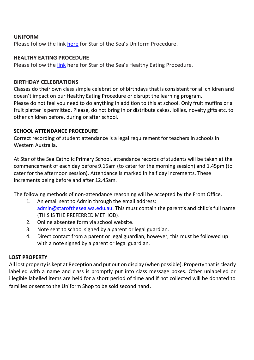#### **UNIFORM**

Please follow the link [here](https://irp.cdn-website.com/c8683b04/files/uploaded/Uniform%20Procedure%20.pdf) for Star of the Sea's Uniform Procedure.

#### **HEALTHY EATING PROCEDURE**

Please follow th[e link](https://irp.cdn-website.com/c8683b04/files/uploaded/18.%20Healthy%20Eating%20Procedure.pdf) here for Star of the Sea's Healthy Eating Procedure.

#### **BIRTHDAY CELEBRATIONS**

Classes do their own class simple celebration of birthdays that is consistent for all children and doesn't impact on our Healthy Eating Procedure or disrupt the learning program. Please do not feel you need to do anything in addition to this at school. Only fruit muffins or a fruit platter is permitted. Please, do not bring in or distribute cakes, lollies, novelty gifts etc. to other children before, during or after school.

#### **SCHOOL ATTENDANCE PROCEDURE**

Correct recording of student attendance is a legal requirement for teachers in schools in Western Australia.

At Star of the Sea Catholic Primary School, attendance records of students will be taken at the commencement of each day before 9.15am (to cater for the morning session) and 1.45pm (to cater for the afternoon session). Attendance is marked in half day increments. These increments being before and after 12.45am.

The following methods of non-attendance reasoning will be accepted by the Front Office.

- 1. An email sent to Admin through the email address: [admin@starofthesea.wa.edu.au](mailto:admin@starofthesea.wa.edu.au). This must contain the parent's and child's full name (THIS IS THE PREFERRED METHOD).
- 2. Online absentee form via school website.
- 3. Note sent to school signed by a parent or legal guardian.
- 4. Direct contact from a parent or legal guardian, however, this must be followed up with a note signed by a parent or legal guardian.

#### **LOST PROPERTY**

All lost property is kept at Reception and put out on display (when possible). Property that is clearly labelled with a name and class is promptly put into class message boxes. Other unlabelled or illegible labelled items are held for a short period of time and if not collected will be donated to families or sent to the Uniform Shop to be sold second hand.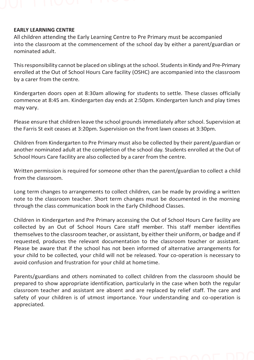#### **EARLY LEARNING CENTRE**

All children attending the Early Learning Centre to Pre Primary must be accompanied into the classroom at the commencement of the school day by either a parent/guardian or nominated adult.

This responsibility cannot be placed on siblings at the school. Students in Kindy and Pre-Primary enrolled at the Out of School Hours Care facility (OSHC) are accompanied into the classroom by a carer from the centre.

Kindergarten doors open at 8:30am allowing for students to settle. These classes officially commence at 8:45 am. Kindergarten day ends at 2:50pm. Kindergarten lunch and play times may vary.

Please ensure that children leave the school grounds immediately after school. Supervision at the Farris St exit ceases at 3:20pm. Supervision on the front lawn ceases at 3:30pm.

Children from Kindergarten to Pre Primary must also be collected by their parent/guardian or another nominated adult at the completion of the school day. Students enrolled at the Out of School Hours Care facility are also collected by a carer from the centre.

Written permission is required for someone other than the parent/guardian to collect a child from the classroom.

Long term changes to arrangements to collect children, can be made by providing a written note to the classroom teacher. Short term changes must be documented in the morning through the class communication book in the Early Childhood Classes.

Children in Kindergarten and Pre Primary accessing the Out of School Hours Care facility are collected by an Out of School Hours Care staff member. This staff member identifies themselves to the classroom teacher, or assistant, by either their uniform, or badge and if requested, produces the relevant documentation to the classroom teacher or assistant. Please be aware that if the school has not been informed of alternative arrangements for your child to be collected, your child will not be released. Your co-operation is necessary to avoid confusion and frustration for your child at hometime.

Parents/guardians and others nominated to collect children from the classroom should be prepared to show appropriate identification, particularly in the case when both the regular classroom teacher and assistant are absent and are replaced by relief staff. The care and safety of your children is of utmost importance. Your understanding and co-operation is appreciated.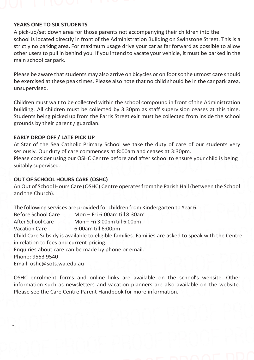#### **YEARS ONE TO SIX STUDENTS**

A pick-up/set down area for those parents not accompanying their children into the school is located directly in front of the Administration Building on Swinstone Street. This is a strictly no parking area**.** For maximum usage drive your car as far forward as possible to allow other users to pull in behind you. If you intend to vacate your vehicle, it must be parked in the main school car park.

Please be aware that students may also arrive on bicycles or on foot so the utmost care should be exercised at these peak times. Please also note that no child should be in the car park area, unsupervised.

Children must wait to be collected within the school compound in front of the Administration building. All children must be collected by 3:30pm as staff supervision ceases at this time. Students being picked up from the Farris Street exit must be collected from inside the school grounds by their parent / guardian.

#### **EARLY DROP OFF / LATE PICK UP**

At Star of the Sea Catholic Primary School we take the duty of care of our students very seriously. Our duty of care commences at 8:00am and ceases at 3:30pm. Please consider using our OSHC Centre before and after school to ensure your child is being

suitably supervised.

#### **OUT OF SCHOOL HOURS CARE (OSHC)**

An Out of School Hours Care (OSHC) Centre operates from the Parish Hall (between the School and the Church).

The following services are provided for children from Kindergarten to Year 6. Before School Care Mon – Fri 6:00am till 8:30am After School Care Mon – Fri 3:00pm till 6:00pm Vacation Care 6:00am till 6:00pm Child Care Subsidy is available to eligible families. Families are asked to speak with the Centre in relation to fees and current pricing. Enquiries about care can be made by phone or email. Phone: 9553 9540 Email: [oshc@sots.wa.edu.au](mailto:oshc@sots.wa.edu.au)

OSHC enrolment forms and online links are available on the school's website. Other information such as newsletters and vacation planners are also available on the website. Please see the Care Centre Parent Handbook for more information.